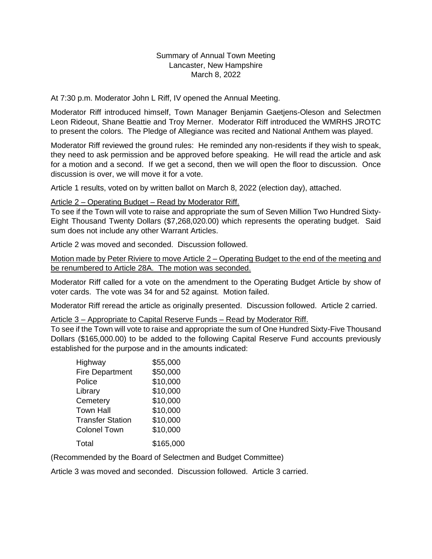## Summary of Annual Town Meeting Lancaster, New Hampshire March 8, 2022

At 7:30 p.m. Moderator John L Riff, IV opened the Annual Meeting.

Moderator Riff introduced himself, Town Manager Benjamin Gaetjens-Oleson and Selectmen Leon Rideout, Shane Beattie and Troy Merner. Moderator Riff introduced the WMRHS JROTC to present the colors. The Pledge of Allegiance was recited and National Anthem was played.

Moderator Riff reviewed the ground rules: He reminded any non-residents if they wish to speak, they need to ask permission and be approved before speaking. He will read the article and ask for a motion and a second. If we get a second, then we will open the floor to discussion. Once discussion is over, we will move it for a vote.

Article 1 results, voted on by written ballot on March 8, 2022 (election day), attached.

## Article 2 – Operating Budget – Read by Moderator Riff.

To see if the Town will vote to raise and appropriate the sum of Seven Million Two Hundred Sixty-Eight Thousand Twenty Dollars (\$7,268,020.00) which represents the operating budget. Said sum does not include any other Warrant Articles.

Article 2 was moved and seconded. Discussion followed.

Motion made by Peter Riviere to move Article 2 – Operating Budget to the end of the meeting and be renumbered to Article 28A. The motion was seconded.

Moderator Riff called for a vote on the amendment to the Operating Budget Article by show of voter cards. The vote was 34 for and 52 against. Motion failed.

Moderator Riff reread the article as originally presented. Discussion followed. Article 2 carried.

## Article 3 – Appropriate to Capital Reserve Funds – Read by Moderator Riff.

To see if the Town will vote to raise and appropriate the sum of One Hundred Sixty-Five Thousand Dollars (\$165,000.00) to be added to the following Capital Reserve Fund accounts previously established for the purpose and in the amounts indicated:

| Highway                 | \$55,000  |
|-------------------------|-----------|
| <b>Fire Department</b>  | \$50,000  |
| Police                  | \$10,000  |
| Library                 | \$10,000  |
| Cemetery                | \$10,000  |
| <b>Town Hall</b>        | \$10,000  |
| <b>Transfer Station</b> | \$10,000  |
| <b>Colonel Town</b>     | \$10,000  |
| Total                   | \$165,000 |

(Recommended by the Board of Selectmen and Budget Committee)

Article 3 was moved and seconded. Discussion followed. Article 3 carried.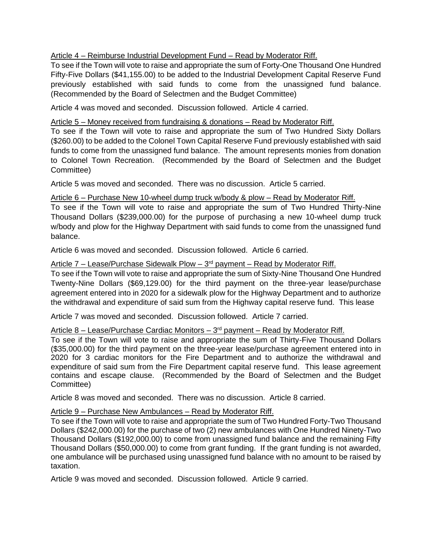# Article 4 – Reimburse Industrial Development Fund – Read by Moderator Riff.

To see if the Town will vote to raise and appropriate the sum of Forty-One Thousand One Hundred Fifty-Five Dollars (\$41,155.00) to be added to the Industrial Development Capital Reserve Fund previously established with said funds to come from the unassigned fund balance. (Recommended by the Board of Selectmen and the Budget Committee)

Article 4 was moved and seconded. Discussion followed. Article 4 carried.

## Article 5 – Money received from fundraising & donations – Read by Moderator Riff.

To see if the Town will vote to raise and appropriate the sum of Two Hundred Sixty Dollars (\$260.00) to be added to the Colonel Town Capital Reserve Fund previously established with said funds to come from the unassigned fund balance. The amount represents monies from donation to Colonel Town Recreation. (Recommended by the Board of Selectmen and the Budget Committee)

Article 5 was moved and seconded. There was no discussion. Article 5 carried.

## Article 6 – Purchase New 10-wheel dump truck w/body & plow – Read by Moderator Riff.

To see if the Town will vote to raise and appropriate the sum of Two Hundred Thirty-Nine Thousand Dollars (\$239,000.00) for the purpose of purchasing a new 10-wheel dump truck w/body and plow for the Highway Department with said funds to come from the unassigned fund balance.

Article 6 was moved and seconded. Discussion followed. Article 6 carried.

## Article 7 – Lease/Purchase Sidewalk Plow – 3<sup>rd</sup> payment – Read by Moderator Riff.

To see if the Town will vote to raise and appropriate the sum of Sixty-Nine Thousand One Hundred Twenty-Nine Dollars (\$69,129.00) for the third payment on the three-year lease/purchase agreement entered into in 2020 for a sidewalk plow for the Highway Department and to authorize the withdrawal and expenditure of said sum from the Highway capital reserve fund. This lease

Article 7 was moved and seconded. Discussion followed. Article 7 carried.

#### Article 8 – Lease/Purchase Cardiac Monitors – 3<sup>rd</sup> payment – Read by Moderator Riff.

To see if the Town will vote to raise and appropriate the sum of Thirty-Five Thousand Dollars (\$35,000.00) for the third payment on the three-year lease/purchase agreement entered into in 2020 for 3 cardiac monitors for the Fire Department and to authorize the withdrawal and expenditure of said sum from the Fire Department capital reserve fund. This lease agreement contains and escape clause. (Recommended by the Board of Selectmen and the Budget Committee)

Article 8 was moved and seconded. There was no discussion. Article 8 carried.

## Article 9 – Purchase New Ambulances – Read by Moderator Riff.

To see if the Town will vote to raise and appropriate the sum of Two Hundred Forty-Two Thousand Dollars (\$242,000.00) for the purchase of two (2) new ambulances with One Hundred Ninety-Two Thousand Dollars (\$192,000.00) to come from unassigned fund balance and the remaining Fifty Thousand Dollars (\$50,000.00) to come from grant funding. If the grant funding is not awarded, one ambulance will be purchased using unassigned fund balance with no amount to be raised by taxation.

Article 9 was moved and seconded. Discussion followed. Article 9 carried.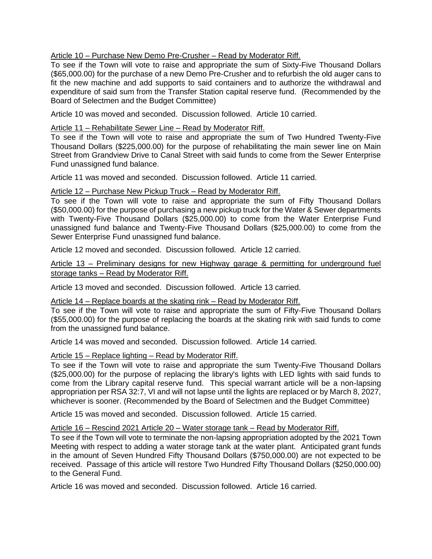## Article 10 – Purchase New Demo Pre-Crusher – Read by Moderator Riff.

To see if the Town will vote to raise and appropriate the sum of Sixty-Five Thousand Dollars (\$65,000.00) for the purchase of a new Demo Pre-Crusher and to refurbish the old auger cans to fit the new machine and add supports to said containers and to authorize the withdrawal and expenditure of said sum from the Transfer Station capital reserve fund. (Recommended by the Board of Selectmen and the Budget Committee)

Article 10 was moved and seconded. Discussion followed. Article 10 carried.

## Article 11 – Rehabilitate Sewer Line – Read by Moderator Riff.

To see if the Town will vote to raise and appropriate the sum of Two Hundred Twenty-Five Thousand Dollars (\$225,000.00) for the purpose of rehabilitating the main sewer line on Main Street from Grandview Drive to Canal Street with said funds to come from the Sewer Enterprise Fund unassigned fund balance.

Article 11 was moved and seconded. Discussion followed. Article 11 carried.

## Article 12 – Purchase New Pickup Truck – Read by Moderator Riff.

To see if the Town will vote to raise and appropriate the sum of Fifty Thousand Dollars (\$50,000.00) for the purpose of purchasing a new pickup truck for the Water & Sewer departments with Twenty-Five Thousand Dollars (\$25,000.00) to come from the Water Enterprise Fund unassigned fund balance and Twenty-Five Thousand Dollars (\$25,000.00) to come from the Sewer Enterprise Fund unassigned fund balance.

Article 12 moved and seconded. Discussion followed. Article 12 carried.

## Article 13 – Preliminary designs for new Highway garage & permitting for underground fuel storage tanks – Read by Moderator Riff.

Article 13 moved and seconded. Discussion followed. Article 13 carried.

## Article 14 – Replace boards at the skating rink – Read by Moderator Riff.

To see if the Town will vote to raise and appropriate the sum of Fifty-Five Thousand Dollars (\$55,000.00) for the purpose of replacing the boards at the skating rink with said funds to come from the unassigned fund balance.

Article 14 was moved and seconded. Discussion followed. Article 14 carried.

## Article 15 – Replace lighting – Read by Moderator Riff.

To see if the Town will vote to raise and appropriate the sum Twenty-Five Thousand Dollars (\$25,000.00) for the purpose of replacing the library's lights with LED lights with said funds to come from the Library capital reserve fund. This special warrant article will be a non-lapsing appropriation per RSA 32:7, VI and will not lapse until the lights are replaced or by March 8, 2027, whichever is sooner. (Recommended by the Board of Selectmen and the Budget Committee)

Article 15 was moved and seconded. Discussion followed. Article 15 carried.

## Article 16 – Rescind 2021 Article 20 – Water storage tank – Read by Moderator Riff.

To see if the Town will vote to terminate the non-lapsing appropriation adopted by the 2021 Town Meeting with respect to adding a water storage tank at the water plant. Anticipated grant funds in the amount of Seven Hundred Fifty Thousand Dollars (\$750,000.00) are not expected to be received. Passage of this article will restore Two Hundred Fifty Thousand Dollars (\$250,000.00) to the General Fund.

Article 16 was moved and seconded. Discussion followed. Article 16 carried.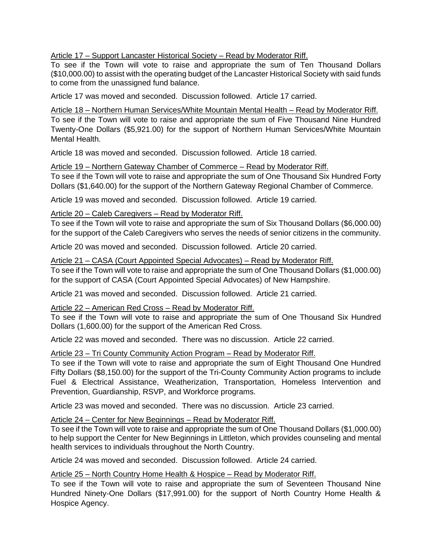Article 17 – Support Lancaster Historical Society – Read by Moderator Riff.

To see if the Town will vote to raise and appropriate the sum of Ten Thousand Dollars (\$10,000.00) to assist with the operating budget of the Lancaster Historical Society with said funds to come from the unassigned fund balance.

Article 17 was moved and seconded. Discussion followed. Article 17 carried.

Article 18 – Northern Human Services/White Mountain Mental Health – Read by Moderator Riff. To see if the Town will vote to raise and appropriate the sum of Five Thousand Nine Hundred Twenty-One Dollars (\$5,921.00) for the support of Northern Human Services/White Mountain Mental Health.

Article 18 was moved and seconded. Discussion followed. Article 18 carried.

## Article 19 – Northern Gateway Chamber of Commerce – Read by Moderator Riff.

To see if the Town will vote to raise and appropriate the sum of One Thousand Six Hundred Forty Dollars (\$1,640.00) for the support of the Northern Gateway Regional Chamber of Commerce.

Article 19 was moved and seconded. Discussion followed. Article 19 carried.

## Article 20 - Caleb Caregivers - Read by Moderator Riff.

To see if the Town will vote to raise and appropriate the sum of Six Thousand Dollars (\$6,000.00) for the support of the Caleb Caregivers who serves the needs of senior citizens in the community.

Article 20 was moved and seconded. Discussion followed. Article 20 carried.

#### Article 21 – CASA (Court Appointed Special Advocates) – Read by Moderator Riff.

To see if the Town will vote to raise and appropriate the sum of One Thousand Dollars (\$1,000.00) for the support of CASA (Court Appointed Special Advocates) of New Hampshire.

Article 21 was moved and seconded. Discussion followed. Article 21 carried.

#### Article 22 – American Red Cross – Read by Moderator Riff.

To see if the Town will vote to raise and appropriate the sum of One Thousand Six Hundred Dollars (1,600.00) for the support of the American Red Cross.

Article 22 was moved and seconded. There was no discussion. Article 22 carried.

## Article 23 – Tri County Community Action Program – Read by Moderator Riff.

To see if the Town will vote to raise and appropriate the sum of Eight Thousand One Hundred Fifty Dollars (\$8,150.00) for the support of the Tri-County Community Action programs to include Fuel & Electrical Assistance, Weatherization, Transportation, Homeless Intervention and Prevention, Guardianship, RSVP, and Workforce programs.

Article 23 was moved and seconded. There was no discussion. Article 23 carried.

#### Article 24 – Center for New Beginnings – Read by Moderator Riff.

To see if the Town will vote to raise and appropriate the sum of One Thousand Dollars (\$1,000.00) to help support the Center for New Beginnings in Littleton, which provides counseling and mental health services to individuals throughout the North Country.

Article 24 was moved and seconded. Discussion followed. Article 24 carried.

#### Article 25 – North Country Home Health & Hospice – Read by Moderator Riff.

To see if the Town will vote to raise and appropriate the sum of Seventeen Thousand Nine Hundred Ninety-One Dollars (\$17,991.00) for the support of North Country Home Health & Hospice Agency.